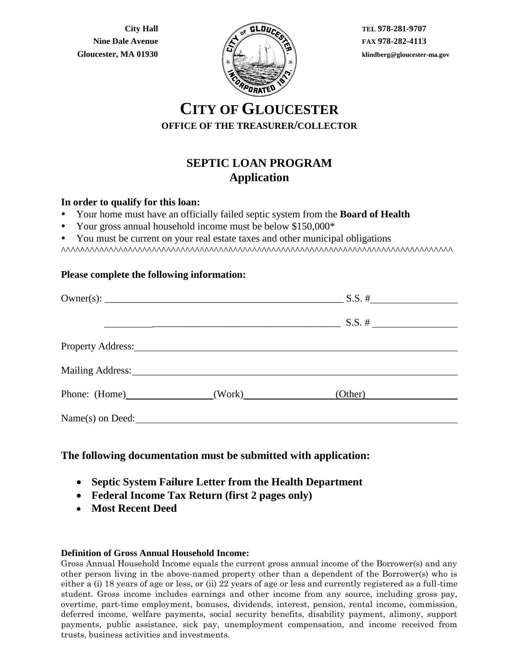**City Hall Nine Dale Avenue Gloucester, MA 01930**



**TEL 978-281-9707 FAX 978-282-4113 klindberg@gloucester-ma.gov**

# **CITY OF GLOUCESTER OFFICE OF THE TREASURER/COLLECTOR**

# **SEPTIC LOAN PROGRAM Application**

### **In order to qualify for this loan:**

- Your home must have an officially failed septic system from the **Board of Health**
- Your gross annual household income must be below \$150,000\*
- You must be current on your real estate taxes and other municipal obligations

^^^^^^^^^^^^^^^^^^^^^^^^^^^^^^^^^^^^^^^^^^^^^^^^^^^^^^^^^^^^^^^^^^^^^^^^^^^^^^^^^^

#### **Please complete the following information:**

|                                   | Property Address: 2008. The Contract of the Contract of the Contract of the Contract of the Contract of the Contract of the Contract of the Contract of the Contract of the Contract of the Contract of the Contract of the Co |                  |  |
|-----------------------------------|--------------------------------------------------------------------------------------------------------------------------------------------------------------------------------------------------------------------------------|------------------|--|
| Mailing Address: Mailing Address: |                                                                                                                                                                                                                                |                  |  |
|                                   | Phone: (Home) (Work)                                                                                                                                                                                                           | (O <u>ther</u> ) |  |
|                                   | Name(s) on Deed:                                                                                                                                                                                                               |                  |  |

# **The following documentation must be submitted with application:**

- **Septic System Failure Letter from the Health Department**
- **Federal Income Tax Return (first 2 pages only)**
- **Most Recent Deed**

#### **Definition of Gross Annual Household Income:**

Gross Annual Household Income equals the current gross annual income of the Borrower(s) and any other person living in the above-named property other than a dependent of the Borrower(s) who is either a (i) 18 years of age or less, or (ii) 22 years of age or less and currently registered as a full-time student. Gross income includes earnings and other income from any source, including gross pay, overtime, part-time employment, bonuses, dividends, interest, pension, rental income, commission, deferred income, welfare payments, social security benefits, disability payment, alimony, support payments, public assistance, sick pay, unemployment compensation, and income received from trusts, business activities and investments.